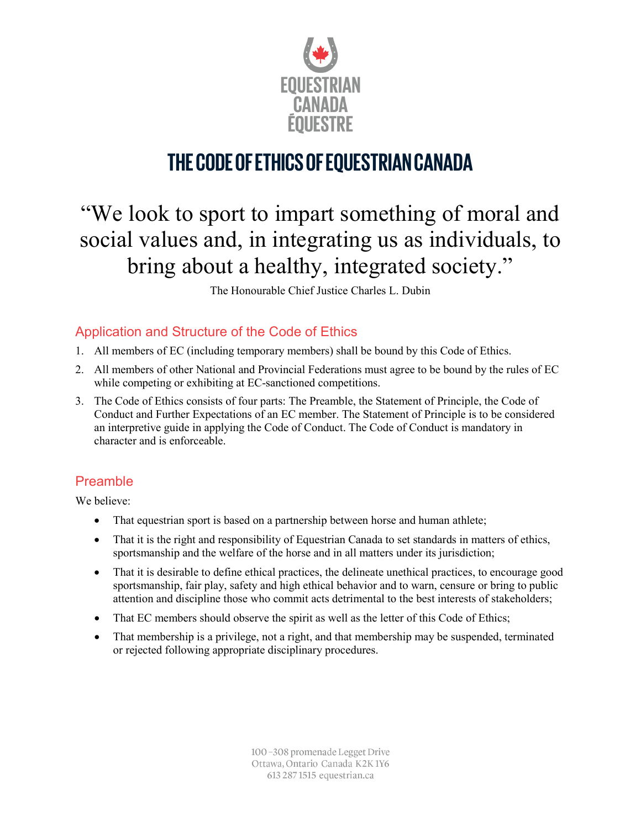

## **THE CODE OF ETHICS OF EQUESTRIAN CANADA**

# "We look to sport to impart something of moral and social values and, in integrating us as individuals, to bring about a healthy, integrated society."

The Honourable Chief Justice Charles L. Dubin

## Application and Structure of the Code of Ethics

- 1. All members of EC (including temporary members) shall be bound by this Code of Ethics.
- 2. All members of other National and Provincial Federations must agree to be bound by the rules of EC while competing or exhibiting at EC-sanctioned competitions.
- 3. The Code of Ethics consists of four parts: The Preamble, the Statement of Principle, the Code of Conduct and Further Expectations of an EC member. The Statement of Principle is to be considered an interpretive guide in applying the Code of Conduct. The Code of Conduct is mandatory in character and is enforceable.

#### Preamble

We believe:

- That equestrian sport is based on a partnership between horse and human athlete;
- That it is the right and responsibility of Equestrian Canada to set standards in matters of ethics, sportsmanship and the welfare of the horse and in all matters under its jurisdiction;
- That it is desirable to define ethical practices, the delineate unethical practices, to encourage good sportsmanship, fair play, safety and high ethical behavior and to warn, censure or bring to public attention and discipline those who commit acts detrimental to the best interests of stakeholders;
- That EC members should observe the spirit as well as the letter of this Code of Ethics;
- That membership is a privilege, not a right, and that membership may be suspended, terminated or rejected following appropriate disciplinary procedures.

100-308 promenade Legget Drive Ottawa, Ontario Canada K2K1Y6 613 287 1515 equestrian.ca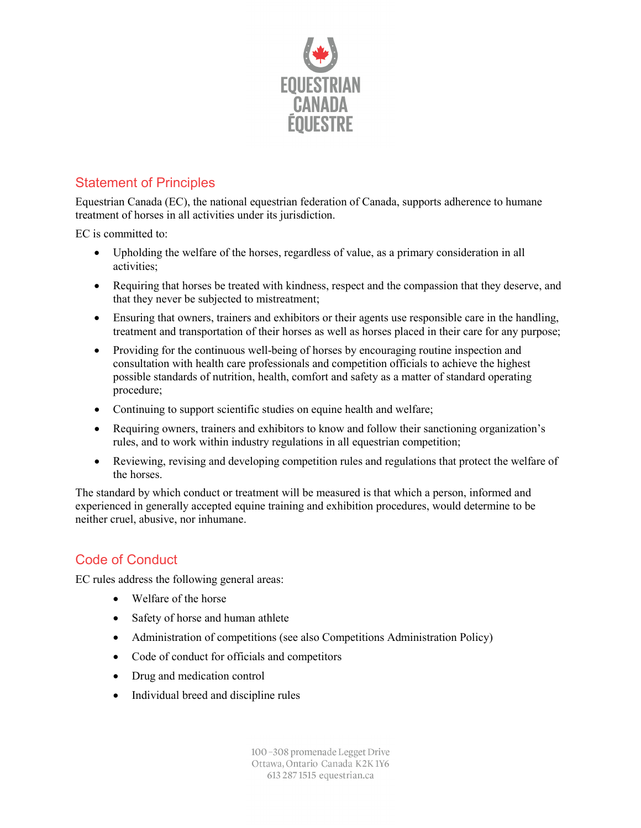

## Statement of Principles

Equestrian Canada (EC), the national equestrian federation of Canada, supports adherence to humane treatment of horses in all activities under its jurisdiction.

EC is committed to:

- Upholding the welfare of the horses, regardless of value, as a primary consideration in all activities;
- Requiring that horses be treated with kindness, respect and the compassion that they deserve, and that they never be subjected to mistreatment;
- Ensuring that owners, trainers and exhibitors or their agents use responsible care in the handling, treatment and transportation of their horses as well as horses placed in their care for any purpose;
- Providing for the continuous well-being of horses by encouraging routine inspection and consultation with health care professionals and competition officials to achieve the highest possible standards of nutrition, health, comfort and safety as a matter of standard operating procedure;
- Continuing to support scientific studies on equine health and welfare;
- Requiring owners, trainers and exhibitors to know and follow their sanctioning organization's rules, and to work within industry regulations in all equestrian competition;
- Reviewing, revising and developing competition rules and regulations that protect the welfare of the horses.

The standard by which conduct or treatment will be measured is that which a person, informed and experienced in generally accepted equine training and exhibition procedures, would determine to be neither cruel, abusive, nor inhumane.

## Code of Conduct

EC rules address the following general areas:

- Welfare of the horse
- Safety of horse and human athlete
- Administration of competitions (see also Competitions Administration Policy)
- Code of conduct for officials and competitors
- Drug and medication control
- Individual breed and discipline rules

100-308 promenade Legget Drive Ottawa, Ontario Canada K2K1Y6 613 287 1515 equestrian.ca